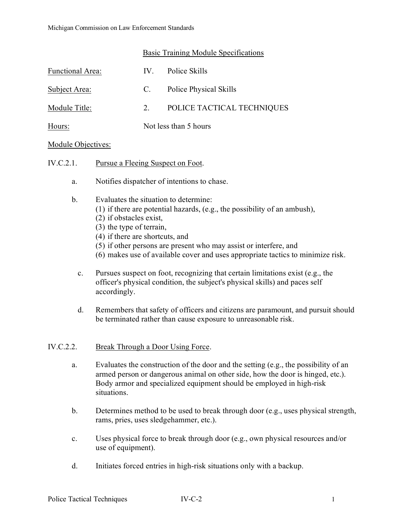### Basic Training Module Specifications

| Functional Area: | $IV_{-}$              | Police Skills              |
|------------------|-----------------------|----------------------------|
| Subject Area:    | C.                    | Police Physical Skills     |
| Module Title:    | $2^{+}$               | POLICE TACTICAL TECHNIQUES |
| Hours:           | Not less than 5 hours |                            |

### Module Objectives:

- IV.C.2.1. Pursue a Fleeing Suspect on Foot.
	- a. Notifies dispatcher of intentions to chase.
	- b. Evaluates the situation to determine:
		- (1) if there are potential hazards, (e.g., the possibility of an ambush),
		- (2) if obstacles exist,
		- (3) the type of terrain,
		- (4) if there are shortcuts, and
		- (5) if other persons are present who may assist or interfere, and
		- (6) makes use of available cover and uses appropriate tactics to minimize risk.
		- c. Pursues suspect on foot, recognizing that certain limitations exist (e.g., the officer's physical condition, the subject's physical skills) and paces self accordingly.
		- d. Remembers that safety of officers and citizens are paramount, and pursuit should be terminated rather than cause exposure to unreasonable risk.

### IV.C.2.2. Break Through a Door Using Force.

- a. Evaluates the construction of the door and the setting (e.g., the possibility of an armed person or dangerous animal on other side, how the door is hinged, etc.). Body armor and specialized equipment should be employed in high-risk situations.
- b. Determines method to be used to break through door (e.g., uses physical strength, rams, pries, uses sledgehammer, etc.).
- c. Uses physical force to break through door (e.g., own physical resources and/or use of equipment).
- d. Initiates forced entries in high-risk situations only with a backup.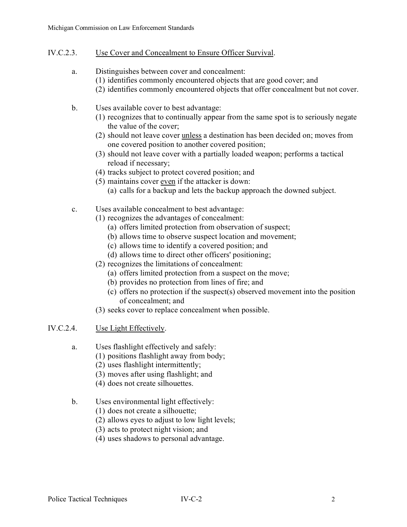- IV.C.2.3. Use Cover and Concealment to Ensure Officer Survival.
	- a. Distinguishes between cover and concealment:
		- (1) identifies commonly encountered objects that are good cover; and
		- (2) identifies commonly encountered objects that offer concealment but not cover.
	- b. Uses available cover to best advantage:
		- (1) recognizes that to continually appear from the same spot is to seriously negate the value of the cover;
		- (2) should not leave cover unless a destination has been decided on; moves from one covered position to another covered position;
		- (3) should not leave cover with a partially loaded weapon; performs a tactical reload if necessary;
		- (4) tracks subject to protect covered position; and
		- (5) maintains cover even if the attacker is down:
			- (a) calls for a backup and lets the backup approach the downed subject.
	- c. Uses available concealment to best advantage:
		- (1) recognizes the advantages of concealment:
			- (a) offers limited protection from observation of suspect;
			- (b) allows time to observe suspect location and movement;
			- (c) allows time to identify a covered position; and
			- (d) allows time to direct other officers' positioning;
		- (2) recognizes the limitations of concealment:
			- (a) offers limited protection from a suspect on the move;
			- (b) provides no protection from lines of fire; and
			- (c) offers no protection if the suspect(s) observed movement into the position of concealment; and
		- (3) seeks cover to replace concealment when possible.

## IV.C.2.4. Use Light Effectively.

- a. Uses flashlight effectively and safely:
	- (1) positions flashlight away from body;
	- (2) uses flashlight intermittently;
	- (3) moves after using flashlight; and
	- (4) does not create silhouettes.
- b. Uses environmental light effectively:
	- (1) does not create a silhouette;
	- (2) allows eyes to adjust to low light levels;
	- (3) acts to protect night vision; and
	- (4) uses shadows to personal advantage.